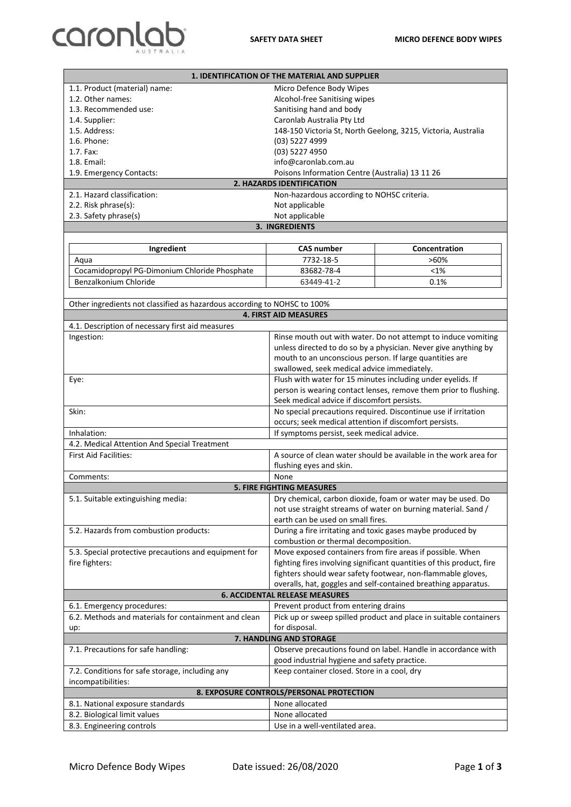## caronlab

| 1. IDENTIFICATION OF THE MATERIAL AND SUPPLIER                                                                  |                                                                                                     |                                                                       |
|-----------------------------------------------------------------------------------------------------------------|-----------------------------------------------------------------------------------------------------|-----------------------------------------------------------------------|
| 1.1. Product (material) name:                                                                                   | Micro Defence Body Wipes                                                                            |                                                                       |
| 1.2. Other names:                                                                                               | Alcohol-free Sanitising wipes                                                                       |                                                                       |
| 1.3. Recommended use:                                                                                           | Sanitising hand and body                                                                            |                                                                       |
| 1.4. Supplier:                                                                                                  | Caronlab Australia Pty Ltd                                                                          |                                                                       |
| 1.5. Address:                                                                                                   | 148-150 Victoria St, North Geelong, 3215, Victoria, Australia                                       |                                                                       |
| 1.6. Phone:                                                                                                     | (03) 5227 4999                                                                                      |                                                                       |
| 1.7. Fax:                                                                                                       | (03) 5227 4950                                                                                      |                                                                       |
| 1.8. Email:                                                                                                     | info@caronlab.com.au                                                                                |                                                                       |
| Poisons Information Centre (Australia) 13 11 26<br>1.9. Emergency Contacts:<br><b>2. HAZARDS IDENTIFICATION</b> |                                                                                                     |                                                                       |
| 2.1. Hazard classification:                                                                                     | Non-hazardous according to NOHSC criteria.                                                          |                                                                       |
| 2.2. Risk phrase(s):                                                                                            | Not applicable                                                                                      |                                                                       |
| 2.3. Safety phrase(s)                                                                                           | Not applicable                                                                                      |                                                                       |
| 3. INGREDIENTS                                                                                                  |                                                                                                     |                                                                       |
|                                                                                                                 |                                                                                                     |                                                                       |
| Ingredient                                                                                                      | <b>CAS number</b>                                                                                   | Concentration                                                         |
| Aqua                                                                                                            | 7732-18-5                                                                                           | $>60\%$                                                               |
| Cocamidopropyl PG-Dimonium Chloride Phosphate                                                                   | 83682-78-4                                                                                          | <1%                                                                   |
| Benzalkonium Chloride                                                                                           | 63449-41-2                                                                                          | 0.1%                                                                  |
|                                                                                                                 |                                                                                                     |                                                                       |
| Other ingredients not classified as hazardous according to NOHSC to 100%                                        |                                                                                                     |                                                                       |
| <b>4. FIRST AID MEASURES</b>                                                                                    |                                                                                                     |                                                                       |
| 4.1. Description of necessary first aid measures                                                                |                                                                                                     |                                                                       |
| Ingestion:                                                                                                      |                                                                                                     | Rinse mouth out with water. Do not attempt to induce vomiting         |
|                                                                                                                 |                                                                                                     | unless directed to do so by a physician. Never give anything by       |
|                                                                                                                 | mouth to an unconscious person. If large quantities are                                             |                                                                       |
|                                                                                                                 | swallowed, seek medical advice immediately.                                                         |                                                                       |
| Eye:                                                                                                            |                                                                                                     | Flush with water for 15 minutes including under eyelids. If           |
|                                                                                                                 |                                                                                                     | person is wearing contact lenses, remove them prior to flushing.      |
| Skin:                                                                                                           | Seek medical advice if discomfort persists.                                                         | No special precautions required. Discontinue use if irritation        |
|                                                                                                                 |                                                                                                     |                                                                       |
| Inhalation:                                                                                                     | occurs; seek medical attention if discomfort persists.<br>If symptoms persist, seek medical advice. |                                                                       |
| 4.2. Medical Attention And Special Treatment                                                                    |                                                                                                     |                                                                       |
| <b>First Aid Facilities:</b>                                                                                    |                                                                                                     | A source of clean water should be available in the work area for      |
|                                                                                                                 | flushing eyes and skin.                                                                             |                                                                       |
| Comments:                                                                                                       | None                                                                                                |                                                                       |
| <b>5. FIRE FIGHTING MEASURES</b>                                                                                |                                                                                                     |                                                                       |
| 5.1. Suitable extinguishing media:                                                                              |                                                                                                     | Dry chemical, carbon dioxide, foam or water may be used. Do           |
|                                                                                                                 |                                                                                                     | not use straight streams of water on burning material. Sand /         |
|                                                                                                                 | earth can be used on small fires.                                                                   |                                                                       |
| 5.2. Hazards from combustion products:                                                                          | During a fire irritating and toxic gases maybe produced by<br>combustion or thermal decomposition.  |                                                                       |
| 5.3. Special protective precautions and equipment for                                                           |                                                                                                     | Move exposed containers from fire areas if possible. When             |
| fire fighters:                                                                                                  |                                                                                                     | fighting fires involving significant quantities of this product, fire |
|                                                                                                                 |                                                                                                     | fighters should wear safety footwear, non-flammable gloves,           |
|                                                                                                                 |                                                                                                     | overalls, hat, goggles and self-contained breathing apparatus.        |
| <b>6. ACCIDENTAL RELEASE MEASURES</b>                                                                           |                                                                                                     |                                                                       |
| 6.1. Emergency procedures:                                                                                      | Prevent product from entering drains                                                                |                                                                       |
| 6.2. Methods and materials for containment and clean                                                            |                                                                                                     | Pick up or sweep spilled product and place in suitable containers     |
| up:                                                                                                             | for disposal.<br>7. HANDLING AND STORAGE                                                            |                                                                       |
|                                                                                                                 |                                                                                                     | Observe precautions found on label. Handle in accordance with         |
| 7.1. Precautions for safe handling:                                                                             | good industrial hygiene and safety practice.                                                        |                                                                       |
| 7.2. Conditions for safe storage, including any                                                                 | Keep container closed. Store in a cool, dry                                                         |                                                                       |
| incompatibilities:                                                                                              |                                                                                                     |                                                                       |
|                                                                                                                 | 8. EXPOSURE CONTROLS/PERSONAL PROTECTION                                                            |                                                                       |
| 8.1. National exposure standards                                                                                | None allocated                                                                                      |                                                                       |
| 8.2. Biological limit values                                                                                    | None allocated                                                                                      |                                                                       |
| 8.3. Engineering controls                                                                                       | Use in a well-ventilated area.                                                                      |                                                                       |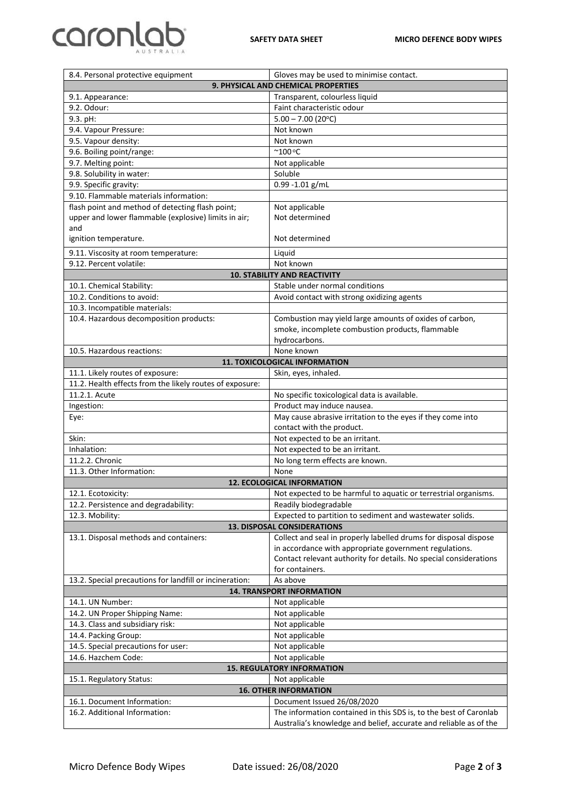## caronlab

| 8.4. Personal protective equipment                                                           | Gloves may be used to minimise contact.                                                         |  |
|----------------------------------------------------------------------------------------------|-------------------------------------------------------------------------------------------------|--|
| 9. PHYSICAL AND CHEMICAL PROPERTIES                                                          |                                                                                                 |  |
| 9.1. Appearance:                                                                             | Transparent, colourless liquid                                                                  |  |
| 9.2. Odour:                                                                                  | Faint characteristic odour                                                                      |  |
| 9.3. pH:                                                                                     | $5.00 - 7.00$ (20°C)                                                                            |  |
| 9.4. Vapour Pressure:                                                                        | Not known                                                                                       |  |
| 9.5. Vapour density:                                                                         | Not known                                                                                       |  |
| 9.6. Boiling point/range:                                                                    | $^{\circ}$ 100 $^{\circ}$ C                                                                     |  |
| 9.7. Melting point:                                                                          | Not applicable                                                                                  |  |
| 9.8. Solubility in water:                                                                    | Soluble                                                                                         |  |
| 9.9. Specific gravity:                                                                       | $0.99 - 1.01$ g/mL                                                                              |  |
| 9.10. Flammable materials information:                                                       |                                                                                                 |  |
| flash point and method of detecting flash point;                                             | Not applicable                                                                                  |  |
| upper and lower flammable (explosive) limits in air;                                         | Not determined                                                                                  |  |
| and                                                                                          |                                                                                                 |  |
| ignition temperature.                                                                        | Not determined                                                                                  |  |
| 9.11. Viscosity at room temperature:                                                         | Liquid                                                                                          |  |
| 9.12. Percent volatile:                                                                      | Not known                                                                                       |  |
| <b>10. STABILITY AND REACTIVITY</b>                                                          |                                                                                                 |  |
| 10.1. Chemical Stability:                                                                    | Stable under normal conditions                                                                  |  |
| 10.2. Conditions to avoid:                                                                   | Avoid contact with strong oxidizing agents                                                      |  |
|                                                                                              |                                                                                                 |  |
| 10.3. Incompatible materials:<br>10.4. Hazardous decomposition products:                     | Combustion may yield large amounts of oxides of carbon,                                         |  |
|                                                                                              | smoke, incomplete combustion products, flammable                                                |  |
|                                                                                              | hydrocarbons.                                                                                   |  |
|                                                                                              |                                                                                                 |  |
| None known<br>10.5. Hazardous reactions:<br>11. TOXICOLOGICAL INFORMATION                    |                                                                                                 |  |
|                                                                                              |                                                                                                 |  |
| 11.1. Likely routes of exposure:<br>11.2. Health effects from the likely routes of exposure: | Skin, eyes, inhaled.                                                                            |  |
|                                                                                              |                                                                                                 |  |
| 11.2.1. Acute                                                                                | No specific toxicological data is available.                                                    |  |
| Ingestion:                                                                                   | Product may induce nausea.                                                                      |  |
| Eye:                                                                                         | May cause abrasive irritation to the eyes if they come into<br>contact with the product.        |  |
| Skin:                                                                                        | Not expected to be an irritant.                                                                 |  |
| Inhalation:                                                                                  | Not expected to be an irritant.                                                                 |  |
| 11.2.2. Chronic                                                                              | No long term effects are known.                                                                 |  |
| 11.3. Other Information:                                                                     |                                                                                                 |  |
| None<br>12. ECOLOGICAL INFORMATION                                                           |                                                                                                 |  |
| Not expected to be harmful to aquatic or terrestrial organisms.<br>12.1. Ecotoxicity:        |                                                                                                 |  |
| 12.2. Persistence and degradability:                                                         | Readily biodegradable                                                                           |  |
| 12.3. Mobility:                                                                              | Expected to partition to sediment and wastewater solids.                                        |  |
| <b>13. DISPOSAL CONSIDERATIONS</b>                                                           |                                                                                                 |  |
| 13.1. Disposal methods and containers:                                                       | Collect and seal in properly labelled drums for disposal dispose                                |  |
|                                                                                              | in accordance with appropriate government regulations.                                          |  |
|                                                                                              | Contact relevant authority for details. No special considerations                               |  |
|                                                                                              |                                                                                                 |  |
|                                                                                              | for containers.                                                                                 |  |
|                                                                                              |                                                                                                 |  |
| 13.2. Special precautions for landfill or incineration:                                      | As above<br><b>14. TRANSPORT INFORMATION</b>                                                    |  |
| 14.1. UN Number:                                                                             |                                                                                                 |  |
|                                                                                              | Not applicable                                                                                  |  |
| 14.2. UN Proper Shipping Name:                                                               | Not applicable                                                                                  |  |
| 14.3. Class and subsidiary risk:                                                             | Not applicable                                                                                  |  |
| 14.4. Packing Group:                                                                         | Not applicable                                                                                  |  |
| 14.5. Special precautions for user:<br>14.6. Hazchem Code:                                   | Not applicable                                                                                  |  |
|                                                                                              | Not applicable                                                                                  |  |
|                                                                                              | <b>15. REGULATORY INFORMATION</b>                                                               |  |
| 15.1. Regulatory Status:                                                                     | Not applicable<br><b>16. OTHER INFORMATION</b>                                                  |  |
| 16.1. Document Information:                                                                  |                                                                                                 |  |
| 16.2. Additional Information:                                                                | Document Issued 26/08/2020<br>The information contained in this SDS is, to the best of Caronlab |  |